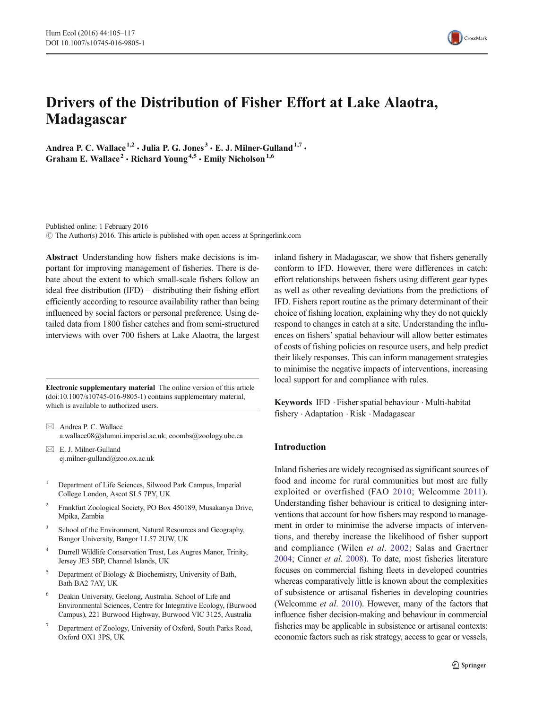

Andrea P. C. Wallace<sup>1,2</sup>  $\cdot$  Julia P. G. Jones<sup>3</sup>  $\cdot$  E. J. Milner-Gulland<sup>1,7</sup>  $\cdot$ Graham E. Wallace<sup>2</sup> • Richard Young<sup>4,5</sup> • Emily Nicholson<sup>1,6</sup>

Published online: 1 February 2016  $\odot$  The Author(s) 2016. This article is published with open access at Springerlink.com

Abstract Understanding how fishers make decisions is important for improving management of fisheries. There is debate about the extent to which small-scale fishers follow an ideal free distribution (IFD) – distributing their fishing effort efficiently according to resource availability rather than being influenced by social factors or personal preference. Using detailed data from 1800 fisher catches and from semi-structured interviews with over 700 fishers at Lake Alaotra, the largest

Electronic supplementary material The online version of this article (doi[:10.1007/s10745-016-9805-1](http://dx.doi.org/10.1007/s10745-016-9805-1)) contains supplementary material, which is available to authorized users.

- $\boxtimes$  Andrea P. C. Wallace a.wallace08@alumni.imperial.ac.uk; coombs@zoology.ubc.ca
- $\boxtimes$  E. J. Milner-Gulland ej.milner-gulland@zoo.ox.ac.uk
- <sup>1</sup> Department of Life Sciences, Silwood Park Campus, Imperial College London, Ascot SL5 7PY, UK
- <sup>2</sup> Frankfurt Zoological Society, PO Box 450189, Musakanya Drive, Mpika, Zambia
- <sup>3</sup> School of the Environment, Natural Resources and Geography, Bangor University, Bangor LL57 2UW, UK
- <sup>4</sup> Durrell Wildlife Conservation Trust, Les Augres Manor, Trinity, Jersey JE3 5BP, Channel Islands, UK
- <sup>5</sup> Department of Biology & Biochemistry, University of Bath, Bath BA2 7AY, UK
- <sup>6</sup> Deakin University, Geelong, Australia. School of Life and Environmental Sciences, Centre for Integrative Ecology, (Burwood Campus), 221 Burwood Highway, Burwood VIC 3125, Australia
- <sup>7</sup> Department of Zoology, University of Oxford, South Parks Road, Oxford OX1 3PS, UK

inland fishery in Madagascar, we show that fishers generally conform to IFD. However, there were differences in catch: effort relationships between fishers using different gear types as well as other revealing deviations from the predictions of IFD. Fishers report routine as the primary determinant of their choice of fishing location, explaining why they do not quickly respond to changes in catch at a site. Understanding the influences on fishers' spatial behaviour will allow better estimates of costs of fishing policies on resource users, and help predict their likely responses. This can inform management strategies to minimise the negative impacts of interventions, increasing local support for and compliance with rules.

Keywords IFD . Fisher spatial behaviour . Multi-habitat fishery . Adaptation . Risk . Madagascar

## Introduction

Inland fisheries are widely recognised as significant sources of food and income for rural communities but most are fully exploited or overfished (FAO [2010](#page-11-0); Welcomme [2011](#page-12-0)). Understanding fisher behaviour is critical to designing interventions that account for how fishers may respond to management in order to minimise the adverse impacts of interventions, and thereby increase the likelihood of fisher support and compliance (Wilen et al. [2002](#page-12-0); Salas and Gaertner [2004;](#page-11-0) Cinner et al. [2008\)](#page-10-0). To date, most fisheries literature focuses on commercial fishing fleets in developed countries whereas comparatively little is known about the complexities of subsistence or artisanal fisheries in developing countries (Welcomme et al. [2010\)](#page-12-0). However, many of the factors that influence fisher decision-making and behaviour in commercial fisheries may be applicable in subsistence or artisanal contexts: economic factors such as risk strategy, access to gear or vessels,

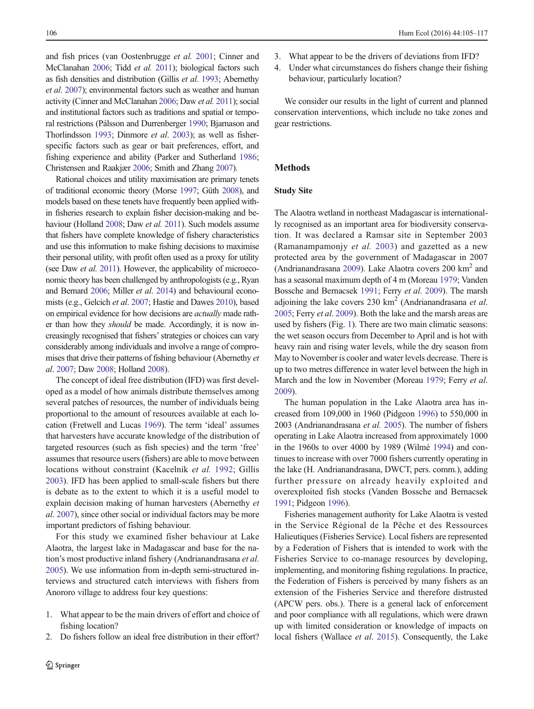and fish prices (van Oostenbrugge et al. [2001](#page-11-0); Cinner and McClanahan [2006](#page-10-0); Tidd et al. [2011](#page-11-0)); biological factors such as fish densities and distribution (Gillis et al. [1993;](#page-11-0) Abernethy et al. [2007\)](#page-10-0); environmental factors such as weather and human activity (Cinner and McClanahan [2006](#page-10-0); Daw et al. [2011\)](#page-10-0); social and institutional factors such as traditions and spatial or temporal restrictions (Pálsson and Durrenberger [1990](#page-11-0); Bjarnason and Thorlindsson [1993](#page-10-0); Dinmore *et al.* [2003\)](#page-10-0); as well as fisherspecific factors such as gear or bait preferences, effort, and fishing experience and ability (Parker and Sutherland [1986](#page-11-0); Christensen and Raakjær [2006](#page-10-0); Smith and Zhang [2007\)](#page-11-0).

Rational choices and utility maximisation are primary tenets of traditional economic theory (Morse [1997;](#page-11-0) Güth [2008\)](#page-11-0), and models based on these tenets have frequently been applied within fisheries research to explain fisher decision-making and behaviour (Holland [2008;](#page-11-0) Daw et al. [2011](#page-10-0)). Such models assume that fishers have complete knowledge of fishery characteristics and use this information to make fishing decisions to maximise their personal utility, with profit often used as a proxy for utility (see Daw *et al.* [2011](#page-10-0)). However, the applicability of microeconomic theory has been challenged by anthropologists (e.g., Ryan and Bernard [2006](#page-11-0); Miller et al. [2014](#page-11-0)) and behavioural economists (e.g., Gelcich et al. [2007](#page-11-0); Hastie and Dawes [2010\)](#page-11-0), based on empirical evidence for how decisions are actually made rather than how they should be made. Accordingly, it is now increasingly recognised that fishers'strategies or choices can vary considerably among individuals and involve a range of compromises that drive their patterns of fishing behaviour (Abernethy et al. [2007;](#page-10-0) Daw [2008;](#page-10-0) Holland [2008\)](#page-11-0).

The concept of ideal free distribution (IFD) was first developed as a model of how animals distribute themselves among several patches of resources, the number of individuals being proportional to the amount of resources available at each location (Fretwell and Lucas [1969\)](#page-11-0). The term 'ideal' assumes that harvesters have accurate knowledge of the distribution of targeted resources (such as fish species) and the term 'free' assumes that resource users (fishers) are able to move between locations without constraint (Kacelnik et al. [1992](#page-11-0); Gillis [2003\)](#page-11-0). IFD has been applied to small-scale fishers but there is debate as to the extent to which it is a useful model to explain decision making of human harvesters (Abernethy et al. [2007\)](#page-10-0), since other social or individual factors may be more important predictors of fishing behaviour.

For this study we examined fisher behaviour at Lake Alaotra, the largest lake in Madagascar and base for the nation's most productive inland fishery (Andrianandrasana et al. [2005\)](#page-10-0). We use information from in-depth semi-structured interviews and structured catch interviews with fishers from Anororo village to address four key questions:

- 1. What appear to be the main drivers of effort and choice of fishing location?
- 2. Do fishers follow an ideal free distribution in their effort?
- 3. What appear to be the drivers of deviations from IFD?
- 4. Under what circumstances do fishers change their fishing behaviour, particularly location?

We consider our results in the light of current and planned conservation interventions, which include no take zones and gear restrictions.

## **Methods**

### Study Site

The Alaotra wetland in northeast Madagascar is internationally recognised as an important area for biodiversity conservation. It was declared a Ramsar site in September 2003 (Ramanampamonjy et al. [2003\)](#page-11-0) and gazetted as a new protected area by the government of Madagascar in 2007 (Andrianandrasana [2009](#page-10-0)). Lake Alaotra covers  $200 \text{ km}^2$  and has a seasonal maximum depth of 4 m (Moreau [1979](#page-11-0); Vanden Bossche and Bernacsek [1991;](#page-11-0) Ferry et al. [2009\)](#page-11-0). The marsh adjoining the lake covers  $230 \text{ km}^2$  (Andrianandrasana et al. [2005;](#page-10-0) Ferry et al. [2009](#page-11-0)). Both the lake and the marsh areas are used by fishers (Fig. [1\)](#page-2-0). There are two main climatic seasons: the wet season occurs from December to April and is hot with heavy rain and rising water levels, while the dry season from May to November is cooler and water levels decrease. There is up to two metres difference in water level between the high in March and the low in November (Moreau [1979;](#page-11-0) Ferry et al. [2009\)](#page-11-0).

The human population in the Lake Alaotra area has increased from 109,000 in 1960 (Pidgeon [1996](#page-11-0)) to 550,000 in 2003 (Andrianandrasana et al. [2005\)](#page-10-0). The number of fishers operating in Lake Alaotra increased from approximately 1000 in the 1960s to over 4000 by 1989 (Wilmé [1994\)](#page-12-0) and continues to increase with over 7000 fishers currently operating in the lake (H. Andrianandrasana, DWCT, pers. comm.), adding further pressure on already heavily exploited and overexploited fish stocks (Vanden Bossche and Bernacsek [1991;](#page-11-0) Pidgeon [1996](#page-11-0)).

Fisheries management authority for Lake Alaotra is vested in the Service Régional de la Pêche et des Ressources Halieutiques (Fisheries Service). Local fishers are represented by a Federation of Fishers that is intended to work with the Fisheries Service to co-manage resources by developing, implementing, and monitoring fishing regulations. In practice, the Federation of Fishers is perceived by many fishers as an extension of the Fisheries Service and therefore distrusted (APCW pers. obs.). There is a general lack of enforcement and poor compliance with all regulations, which were drawn up with limited consideration or knowledge of impacts on local fishers (Wallace *et al.* [2015](#page-12-0)). Consequently, the Lake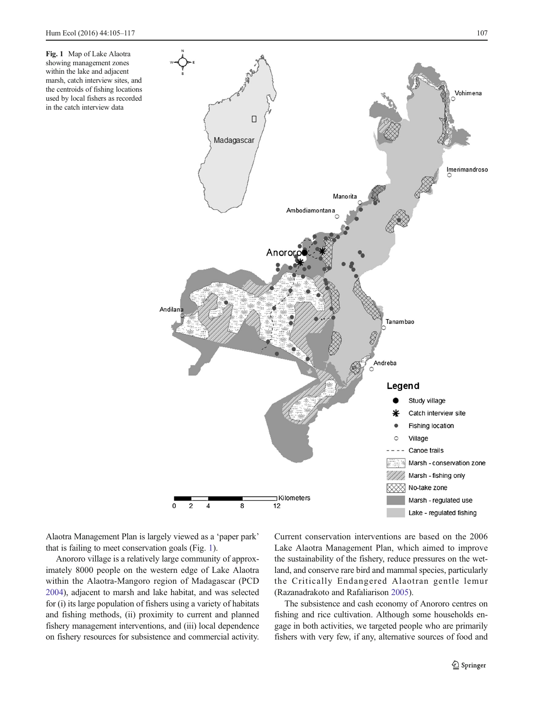<span id="page-2-0"></span>Fig. 1 Map of Lake Alaotra showing management zones within the lake and adjacent marsh, catch interview sites, and the centroids of fishing locations used by local fishers as recorded in the catch interview data



Alaotra Management Plan is largely viewed as a 'paper park' that is failing to meet conservation goals (Fig. 1).

Anororo village is a relatively large community of approximately 8000 people on the western edge of Lake Alaotra within the Alaotra-Mangoro region of Madagascar (PCD [2004\)](#page-11-0), adjacent to marsh and lake habitat, and was selected for (i) its large population of fishers using a variety of habitats and fishing methods, (ii) proximity to current and planned fishery management interventions, and (iii) local dependence on fishery resources for subsistence and commercial activity. Current conservation interventions are based on the 2006 Lake Alaotra Management Plan, which aimed to improve the sustainability of the fishery, reduce pressures on the wetland, and conserve rare bird and mammal species, particularly the Critically Endangered Alaotran gentle lemur (Razanadrakoto and Rafaliarison [2005\)](#page-11-0).

The subsistence and cash economy of Anororo centres on fishing and rice cultivation. Although some households engage in both activities, we targeted people who are primarily fishers with very few, if any, alternative sources of food and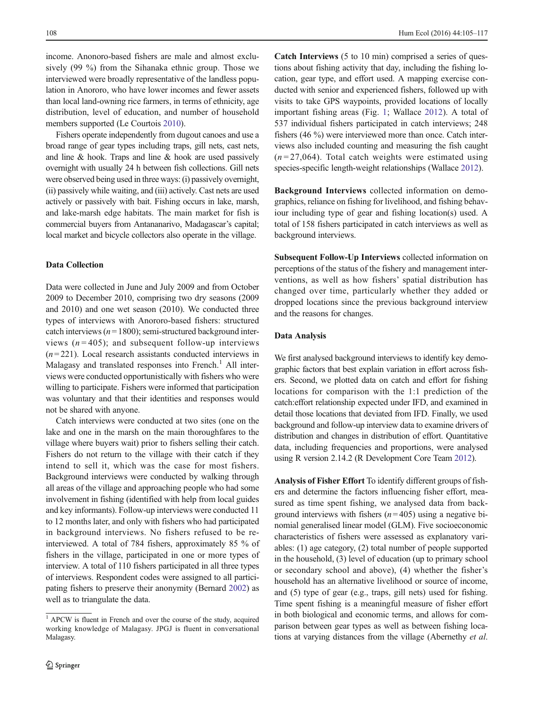income. Anonoro-based fishers are male and almost exclusively (99 %) from the Sihanaka ethnic group. Those we interviewed were broadly representative of the landless population in Anororo, who have lower incomes and fewer assets than local land-owning rice farmers, in terms of ethnicity, age distribution, level of education, and number of household members supported (Le Courtois [2010\)](#page-11-0).

Fishers operate independently from dugout canoes and use a broad range of gear types including traps, gill nets, cast nets, and line & hook. Traps and line & hook are used passively overnight with usually 24 h between fish collections. Gill nets were observed being used in three ways: (i) passively overnight, (ii) passively while waiting, and (iii) actively. Cast nets are used actively or passively with bait. Fishing occurs in lake, marsh, and lake-marsh edge habitats. The main market for fish is commercial buyers from Antananarivo, Madagascar's capital; local market and bicycle collectors also operate in the village.

## Data Collection

Data were collected in June and July 2009 and from October 2009 to December 2010, comprising two dry seasons (2009 and 2010) and one wet season (2010). We conducted three types of interviews with Anororo-based fishers: structured catch interviews ( $n = 1800$ ); semi-structured background interviews ( $n = 405$ ); and subsequent follow-up interviews  $(n=221)$ . Local research assistants conducted interviews in Malagasy and translated responses into French.<sup>1</sup> All interviews were conducted opportunistically with fishers who were willing to participate. Fishers were informed that participation was voluntary and that their identities and responses would not be shared with anyone.

Catch interviews were conducted at two sites (one on the lake and one in the marsh on the main thoroughfares to the village where buyers wait) prior to fishers selling their catch. Fishers do not return to the village with their catch if they intend to sell it, which was the case for most fishers. Background interviews were conducted by walking through all areas of the village and approaching people who had some involvement in fishing (identified with help from local guides and key informants). Follow-up interviews were conducted 11 to 12 months later, and only with fishers who had participated in background interviews. No fishers refused to be reinterviewed. A total of 784 fishers, approximately 85 % of fishers in the village, participated in one or more types of interview. A total of 110 fishers participated in all three types of interviews. Respondent codes were assigned to all participating fishers to preserve their anonymity (Bernard [2002\)](#page-10-0) as well as to triangulate the data.

Catch Interviews (5 to 10 min) comprised a series of questions about fishing activity that day, including the fishing location, gear type, and effort used. A mapping exercise conducted with senior and experienced fishers, followed up with visits to take GPS waypoints, provided locations of locally important fishing areas (Fig. [1;](#page-2-0) Wallace [2012](#page-12-0)). A total of 537 individual fishers participated in catch interviews; 248 fishers (46 %) were interviewed more than once. Catch interviews also included counting and measuring the fish caught  $(n=27,064)$ . Total catch weights were estimated using species-specific length-weight relationships (Wallace [2012\)](#page-12-0).

Background Interviews collected information on demographics, reliance on fishing for livelihood, and fishing behaviour including type of gear and fishing location(s) used. A total of 158 fishers participated in catch interviews as well as background interviews.

Subsequent Follow-Up Interviews collected information on perceptions of the status of the fishery and management interventions, as well as how fishers' spatial distribution has changed over time, particularly whether they added or dropped locations since the previous background interview and the reasons for changes.

## Data Analysis

We first analysed background interviews to identify key demographic factors that best explain variation in effort across fishers. Second, we plotted data on catch and effort for fishing locations for comparison with the 1:1 prediction of the catch:effort relationship expected under IFD, and examined in detail those locations that deviated from IFD. Finally, we used background and follow-up interview data to examine drivers of distribution and changes in distribution of effort. Quantitative data, including frequencies and proportions, were analysed using R version 2.14.2 (R Development Core Team [2012](#page-11-0)).

Analysis of Fisher Effort To identify different groups of fishers and determine the factors influencing fisher effort, measured as time spent fishing, we analysed data from background interviews with fishers  $(n=405)$  using a negative binomial generalised linear model (GLM). Five socioeconomic characteristics of fishers were assessed as explanatory variables: (1) age category, (2) total number of people supported in the household, (3) level of education (up to primary school or secondary school and above), (4) whether the fisher's household has an alternative livelihood or source of income, and (5) type of gear (e.g., traps, gill nets) used for fishing. Time spent fishing is a meaningful measure of fisher effort in both biological and economic terms, and allows for comparison between gear types as well as between fishing locations at varying distances from the village (Abernethy et al.

<sup>&</sup>lt;sup>1</sup> APCW is fluent in French and over the course of the study, acquired working knowledge of Malagasy. JPGJ is fluent in conversational Malagasy.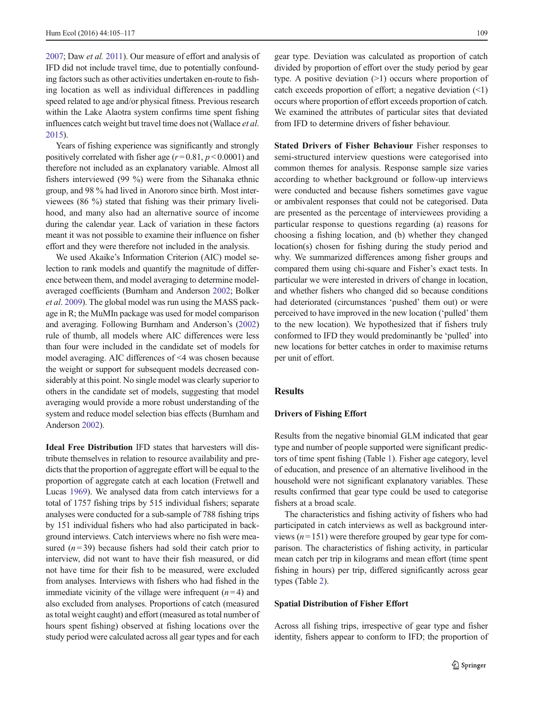[2007;](#page-10-0) Daw et al. [2011](#page-10-0)). Our measure of effort and analysis of IFD did not include travel time, due to potentially confounding factors such as other activities undertaken en-route to fishing location as well as individual differences in paddling speed related to age and/or physical fitness. Previous research within the Lake Alaotra system confirms time spent fishing influences catch weight but travel time does not (Wallace et al. [2015\)](#page-12-0).

Years of fishing experience was significantly and strongly positively correlated with fisher age  $(r= 0.81, p \le 0.0001)$  and therefore not included as an explanatory variable. Almost all fishers interviewed (99 %) were from the Sihanaka ethnic group, and 98 % had lived in Anororo since birth. Most interviewees (86 %) stated that fishing was their primary livelihood, and many also had an alternative source of income during the calendar year. Lack of variation in these factors meant it was not possible to examine their influence on fisher effort and they were therefore not included in the analysis.

We used Akaike's Information Criterion (AIC) model selection to rank models and quantify the magnitude of difference between them, and model averaging to determine modelaveraged coefficients (Burnham and Anderson [2002;](#page-10-0) Bolker et al. [2009\)](#page-10-0). The global model was run using the MASS package in R; the MuMIn package was used for model comparison and averaging. Following Burnham and Anderson's [\(2002\)](#page-10-0) rule of thumb, all models where AIC differences were less than four were included in the candidate set of models for model averaging. AIC differences of <4 was chosen because the weight or support for subsequent models decreased considerably at this point. No single model was clearly superior to others in the candidate set of models, suggesting that model averaging would provide a more robust understanding of the system and reduce model selection bias effects (Burnham and Anderson [2002](#page-10-0)).

Ideal Free Distribution IFD states that harvesters will distribute themselves in relation to resource availability and predicts that the proportion of aggregate effort will be equal to the proportion of aggregate catch at each location (Fretwell and Lucas [1969](#page-11-0)). We analysed data from catch interviews for a total of 1757 fishing trips by 515 individual fishers; separate analyses were conducted for a sub-sample of 788 fishing trips by 151 individual fishers who had also participated in background interviews. Catch interviews where no fish were measured  $(n=39)$  because fishers had sold their catch prior to interview, did not want to have their fish measured, or did not have time for their fish to be measured, were excluded from analyses. Interviews with fishers who had fished in the immediate vicinity of the village were infrequent  $(n=4)$  and also excluded from analyses. Proportions of catch (measured as total weight caught) and effort (measured as total number of hours spent fishing) observed at fishing locations over the study period were calculated across all gear types and for each

gear type. Deviation was calculated as proportion of catch divided by proportion of effort over the study period by gear type. A positive deviation  $(>1)$  occurs where proportion of catch exceeds proportion of effort; a negative deviation (<1) occurs where proportion of effort exceeds proportion of catch. We examined the attributes of particular sites that deviated from IFD to determine drivers of fisher behaviour.

Stated Drivers of Fisher Behaviour Fisher responses to semi-structured interview questions were categorised into common themes for analysis. Response sample size varies according to whether background or follow-up interviews were conducted and because fishers sometimes gave vague or ambivalent responses that could not be categorised. Data are presented as the percentage of interviewees providing a particular response to questions regarding (a) reasons for choosing a fishing location, and (b) whether they changed location(s) chosen for fishing during the study period and why. We summarized differences among fisher groups and compared them using chi-square and Fisher's exact tests. In particular we were interested in drivers of change in location, and whether fishers who changed did so because conditions had deteriorated (circumstances 'pushed' them out) or were perceived to have improved in the new location ('pulled' them to the new location). We hypothesized that if fishers truly conformed to IFD they would predominantly be 'pulled' into new locations for better catches in order to maximise returns per unit of effort.

## Results

### Drivers of Fishing Effort

Results from the negative binomial GLM indicated that gear type and number of people supported were significant predictors of time spent fishing (Table [1](#page-5-0)). Fisher age category, level of education, and presence of an alternative livelihood in the household were not significant explanatory variables. These results confirmed that gear type could be used to categorise fishers at a broad scale.

The characteristics and fishing activity of fishers who had participated in catch interviews as well as background interviews ( $n=151$ ) were therefore grouped by gear type for comparison. The characteristics of fishing activity, in particular mean catch per trip in kilograms and mean effort (time spent fishing in hours) per trip, differed significantly across gear types (Table [2](#page-5-0)).

#### Spatial Distribution of Fisher Effort

Across all fishing trips, irrespective of gear type and fisher identity, fishers appear to conform to IFD; the proportion of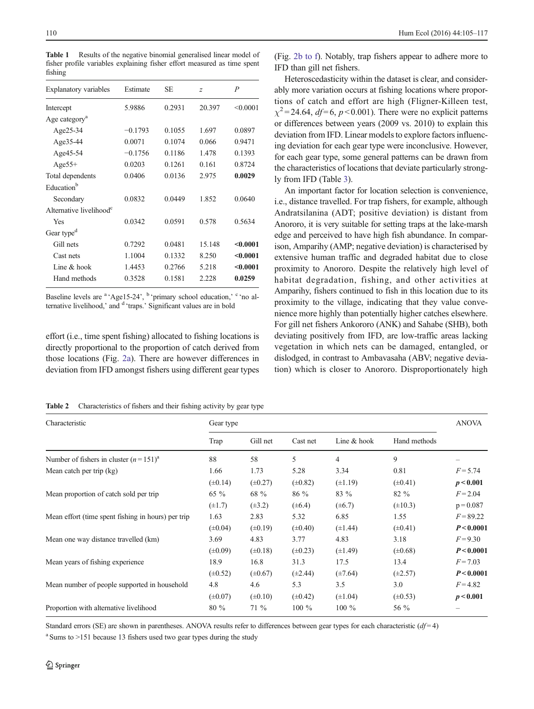<span id="page-5-0"></span>Table 1 Results of the negative binomial generalised linear model of fisher profile variables explaining fisher effort measured as time spent fishing

| <b>Explanatory variables</b>        | Estimate  | SЕ     | $\mathcal{Z}_{\mathcal{L}}$ | P        |
|-------------------------------------|-----------|--------|-----------------------------|----------|
| Intercept                           | 5.9886    | 0.2931 | 20.397                      | < 0.0001 |
| Age category <sup>a</sup>           |           |        |                             |          |
| Age25-34                            | $-0.1793$ | 0.1055 | 1.697                       | 0.0897   |
| Age35-44                            | 0.0071    | 0.1074 | 0.066                       | 0.9471   |
| Age45-54                            | $-0.1756$ | 0.1186 | 1.478                       | 0.1393   |
| $Age55+$                            | 0.0203    | 0.1261 | 0.161                       | 0.8724   |
| Total dependents                    | 0.0406    | 0.0136 | 2.975                       | 0.0029   |
| Education <sup>b</sup>              |           |        |                             |          |
| Secondary                           | 0.0832    | 0.0449 | 1.852                       | 0.0640   |
| Alternative livelihood <sup>c</sup> |           |        |                             |          |
| Yes                                 | 0.0342    | 0.0591 | 0.578                       | 0.5634   |
| Gear type <sup>d</sup>              |           |        |                             |          |
| Gill nets                           | 0.7292    | 0.0481 | 15.148                      | < 0.0001 |
| Cast nets                           | 1.1004    | 0.1332 | 8.250                       | < 0.0001 |
| Line $&$ hook                       | 1.4453    | 0.2766 | 5.218                       | < 0.0001 |
| Hand methods                        | 0.3528    | 0.1581 | 2.228                       | 0.0259   |

Baseline levels are <sup>a</sup> 'Age15-24', <sup>b</sup> 'primary school education,' <sup>c</sup> 'no alternative livelihood,' and <sup>d</sup>'traps.' Significant values are in bold

effort (i.e., time spent fishing) allocated to fishing locations is directly proportional to the proportion of catch derived from those locations (Fig. [2a\)](#page-6-0). There are however differences in deviation from IFD amongst fishers using different gear types

Table 2 Characteristics of fishers and their fishing activity by gear type

(Fig. [2b to f](#page-6-0)). Notably, trap fishers appear to adhere more to IFD than gill net fishers.

Heteroscedasticity within the dataset is clear, and considerably more variation occurs at fishing locations where proportions of catch and effort are high (Fligner-Killeen test,  $\chi^2$  = 24.64, df = 6, p < 0.001). There were no explicit patterns or differences between years (2009 vs. 2010) to explain this deviation from IFD. Linear models to explore factors influencing deviation for each gear type were inconclusive. However, for each gear type, some general patterns can be drawn from the characteristics of locations that deviate particularly strongly from IFD (Table [3](#page-7-0)).

An important factor for location selection is convenience, i.e., distance travelled. For trap fishers, for example, although Andratsilanina (ADT; positive deviation) is distant from Anororo, it is very suitable for setting traps at the lake-marsh edge and perceived to have high fish abundance. In comparison, Amparihy (AMP; negative deviation) is characterised by extensive human traffic and degraded habitat due to close proximity to Anororo. Despite the relatively high level of habitat degradation, fishing, and other activities at Amparihy, fishers continued to fish in this location due to its proximity to the village, indicating that they value convenience more highly than potentially higher catches elsewhere. For gill net fishers Ankororo (ANK) and Sahabe (SHB), both deviating positively from IFD, are low-traffic areas lacking vegetation in which nets can be damaged, entangled, or dislodged, in contrast to Ambavasaha (ABV; negative deviation) which is closer to Anororo. Disproportionately high

| Characteristic                                     | Gear type    |              |              |                |              |             |  |
|----------------------------------------------------|--------------|--------------|--------------|----------------|--------------|-------------|--|
|                                                    | Trap         | Gill net     | Cast net     | Line $&$ hook  | Hand methods |             |  |
| Number of fishers in cluster $(n=151)^{a}$         | 88           | 58           | 5            | $\overline{4}$ | 9            |             |  |
| Mean catch per trip (kg)                           | 1.66         | 1.73         | 5.28         | 3.34           | 0.81         | $F = 5.74$  |  |
|                                                    | $(\pm 0.14)$ | $(\pm 0.27)$ | $(\pm 0.82)$ | $(\pm 1.19)$   | $(\pm 0.41)$ | p < 0.001   |  |
| Mean proportion of catch sold per trip             | 65 %         | 68 %         | 86 %         | 83 %           | $82\%$       | $F = 2.04$  |  |
|                                                    | $(\pm 1.7)$  | $(\pm 3.2)$  | $(\pm 6.4)$  | $(\pm 6.7)$    | $(\pm 10.3)$ | $p = 0.087$ |  |
| Mean effort (time spent fishing in hours) per trip | 1.63         | 2.83         | 5.32         | 6.85           | 1.55         | $F = 89.22$ |  |
|                                                    | $(\pm 0.04)$ | $(\pm 0.19)$ | $(\pm 0.40)$ | $(\pm 1.44)$   | $(\pm 0.41)$ | P < 0.0001  |  |
| Mean one way distance travelled (km)               | 3.69         | 4.83         | 3.77         | 4.83           | 3.18         | $F = 9.30$  |  |
|                                                    | $(\pm 0.09)$ | $(\pm 0.18)$ | $(\pm 0.23)$ | $(\pm 1.49)$   | $(\pm 0.68)$ | P < 0.0001  |  |
| Mean years of fishing experience                   | 18.9         | 16.8         | 31.3         | 17.5           | 13.4         | $F = 7.03$  |  |
|                                                    | $(\pm 0.52)$ | $(\pm 0.67)$ | $(\pm 2.44)$ | $(\pm 7.64)$   | $(\pm 2.57)$ | P < 0.0001  |  |
| Mean number of people supported in household       | 4.8          | 4.6          | 5.3          | 3.5            | 3.0          | $F = 4.82$  |  |
|                                                    | $(\pm 0.07)$ | $(\pm 0.10)$ | $(\pm 0.42)$ | $(\pm 1.04)$   | $(\pm 0.53)$ | p < 0.001   |  |
| Proportion with alternative livelihood             | 80 %         | $71\%$       | $100\%$      | $100 \%$       | 56 %         |             |  |

Standard errors (SE) are shown in parentheses. ANOVA results refer to differences between gear types for each characteristic  $(df=4)$ 

<sup>a</sup> Sums to >151 because 13 fishers used two gear types during the study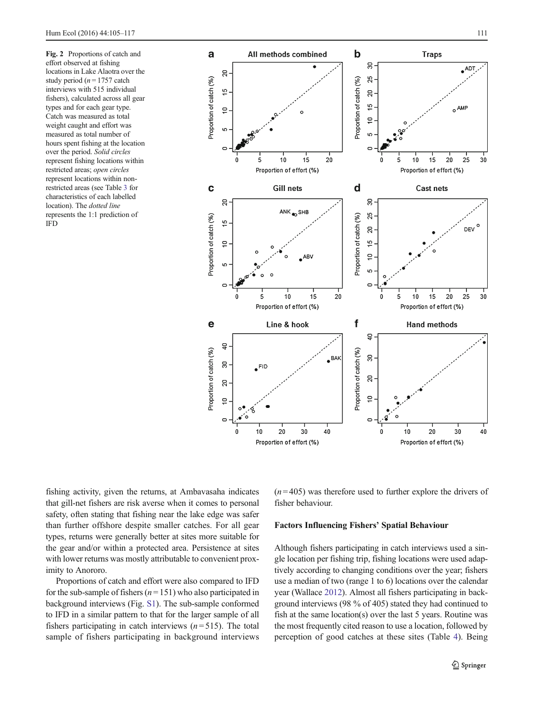<span id="page-6-0"></span>Fig. 2 Proportions of catch and effort observed at fishing locations in Lake Alaotra over the study period ( $n = 1757$  catch interviews with 515 individual fishers), calculated across all gear types and for each gear type. Catch was measured as total weight caught and effort was measured as total number of hours spent fishing at the location over the period. Solid circles represent fishing locations within restricted areas; open circles represent locations within nonrestricted areas (see Table [3](#page-7-0) for characteristics of each labelled location). The dotted line represents the 1:1 prediction of IFD



fishing activity, given the returns, at Ambavasaha indicates that gill-net fishers are risk averse when it comes to personal safety, often stating that fishing near the lake edge was safer than further offshore despite smaller catches. For all gear types, returns were generally better at sites more suitable for the gear and/or within a protected area. Persistence at sites with lower returns was mostly attributable to convenient proximity to Anororo.

Proportions of catch and effort were also compared to IFD for the sub-sample of fishers  $(n = 151)$  who also participated in background interviews (Fig. S1). The sub-sample conformed to IFD in a similar pattern to that for the larger sample of all fishers participating in catch interviews  $(n=515)$ . The total sample of fishers participating in background interviews  $(n=405)$  was therefore used to further explore the drivers of fisher behaviour.

### Factors Influencing Fishers' Spatial Behaviour

Although fishers participating in catch interviews used a single location per fishing trip, fishing locations were used adaptively according to changing conditions over the year; fishers use a median of two (range 1 to 6) locations over the calendar year (Wallace [2012\)](#page-12-0). Almost all fishers participating in background interviews (98 % of 405) stated they had continued to fish at the same location(s) over the last 5 years. Routine was the most frequently cited reason to use a location, followed by perception of good catches at these sites (Table [4\)](#page-7-0). Being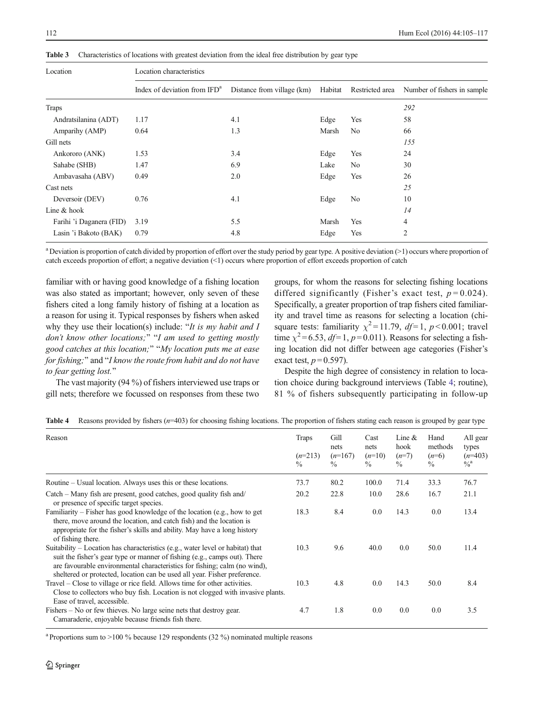| Location characteristics    |  |  |  |  |  |  |  |
|-----------------------------|--|--|--|--|--|--|--|
| Number of fishers in sample |  |  |  |  |  |  |  |
|                             |  |  |  |  |  |  |  |
|                             |  |  |  |  |  |  |  |
|                             |  |  |  |  |  |  |  |
|                             |  |  |  |  |  |  |  |
|                             |  |  |  |  |  |  |  |
|                             |  |  |  |  |  |  |  |
|                             |  |  |  |  |  |  |  |
|                             |  |  |  |  |  |  |  |
|                             |  |  |  |  |  |  |  |
|                             |  |  |  |  |  |  |  |
|                             |  |  |  |  |  |  |  |
|                             |  |  |  |  |  |  |  |
|                             |  |  |  |  |  |  |  |

<span id="page-7-0"></span>Table 3 Characteristics of locations with greatest deviation from the ideal free distribution by gear type

<sup>a</sup> Deviation is proportion of catch divided by proportion of effort over the study period by gear type. A positive deviation (>1) occurs where proportion of catch exceeds proportion of effort; a negative deviation (<1) occurs where proportion of effort exceeds proportion of catch

familiar with or having good knowledge of a fishing location was also stated as important; however, only seven of these fishers cited a long family history of fishing at a location as a reason for using it. Typical responses by fishers when asked why they use their location(s) include: "It is my habit and I don't know other locations;" "I am used to getting mostly good catches at this location;" "My location puts me at ease for fishing;" and "I know the route from habit and do not have to fear getting lost."

The vast majority (94 %) of fishers interviewed use traps or gill nets; therefore we focussed on responses from these two

groups, for whom the reasons for selecting fishing locations differed significantly (Fisher's exact test,  $p = 0.024$ ). Specifically, a greater proportion of trap fishers cited familiarity and travel time as reasons for selecting a location (chisquare tests: familiarity  $\chi^2$  = 11.79, df = 1, p < 0.001; travel time  $\chi^2$  = 6.53, df = 1, p = 0.011). Reasons for selecting a fishing location did not differ between age categories (Fisher's exact test,  $p=0.597$ ).

Despite the high degree of consistency in relation to location choice during background interviews (Table 4; routine), 81 % of fishers subsequently participating in follow-up

Table 4 Reasons provided by fishers ( $n=403$ ) for choosing fishing locations. The proportion of fishers stating each reason is grouped by gear type

| Reason                                                                                                                                                                                                                                                                                                                | Traps                      | Gill<br>nets<br>$(n=167)$<br>$\frac{0}{0}$ | Cast<br>nets<br>$(n=10)$<br>$\frac{0}{0}$ | Line $\&$<br>hook<br>$(n=7)$<br>$\frac{0}{0}$ | Hand<br>methods<br>$(n=6)$<br>$\frac{0}{0}$ | All gear<br>types<br>$(n=403)$<br>$\frac{0}{a}$ |
|-----------------------------------------------------------------------------------------------------------------------------------------------------------------------------------------------------------------------------------------------------------------------------------------------------------------------|----------------------------|--------------------------------------------|-------------------------------------------|-----------------------------------------------|---------------------------------------------|-------------------------------------------------|
|                                                                                                                                                                                                                                                                                                                       | $(n=213)$<br>$\frac{0}{0}$ |                                            |                                           |                                               |                                             |                                                 |
| Routine – Usual location. Always uses this or these locations.                                                                                                                                                                                                                                                        | 73.7                       | 80.2                                       | 100.0                                     | 71.4                                          | 33.3                                        | 76.7                                            |
| Catch – Many fish are present, good catches, good quality fish and/<br>or presence of specific target species.                                                                                                                                                                                                        | 20.2                       | 22.8                                       | 10.0                                      | 28.6                                          | 16.7                                        | 21.1                                            |
| Familiarity – Fisher has good knowledge of the location (e.g., how to get<br>there, move around the location, and catch fish) and the location is<br>appropriate for the fisher's skills and ability. May have a long history<br>of fishing there.                                                                    | 18.3                       | 8.4                                        | 0.0                                       | 14.3                                          | 0.0                                         | 13.4                                            |
| Suitability – Location has characteristics (e.g., water level or habitat) that<br>suit the fisher's gear type or manner of fishing (e.g., camps out). There<br>are favourable environmental characteristics for fishing; calm (no wind),<br>sheltered or protected, location can be used all year. Fisher preference. | 10.3                       | 9.6                                        | 40.0                                      | 0.0                                           | 50.0                                        | 11.4                                            |
| Travel – Close to village or rice field. Allows time for other activities.<br>Close to collectors who buy fish. Location is not clogged with invasive plants.<br>Ease of travel, accessible.                                                                                                                          | 10.3                       | 4.8                                        | 0.0                                       | 14.3                                          | 50.0                                        | 8.4                                             |
| Fishers – No or few thieves. No large seine nets that destroy gear.<br>Camaraderie, enjoyable because friends fish there.                                                                                                                                                                                             | 4.7                        | 1.8                                        | 0.0                                       | 0.0                                           | 0.0                                         | 3.5                                             |

<sup>a</sup> Proportions sum to >100 % because 129 respondents (32 %) nominated multiple reasons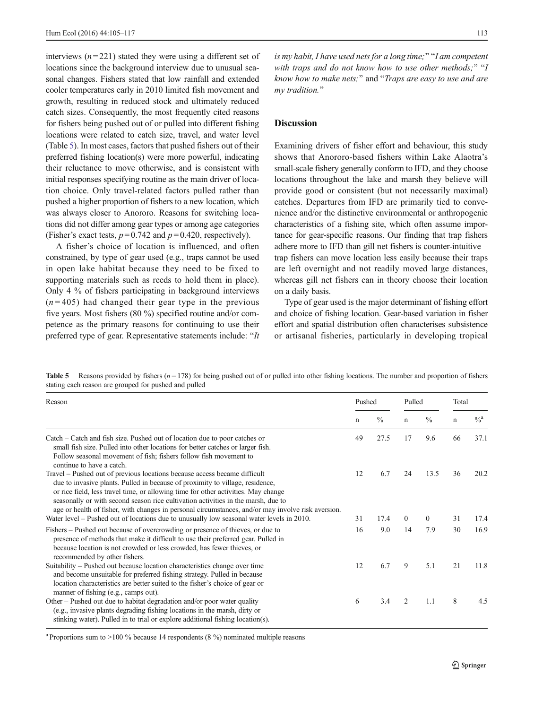interviews  $(n=221)$  stated they were using a different set of locations since the background interview due to unusual seasonal changes. Fishers stated that low rainfall and extended cooler temperatures early in 2010 limited fish movement and growth, resulting in reduced stock and ultimately reduced catch sizes. Consequently, the most frequently cited reasons for fishers being pushed out of or pulled into different fishing locations were related to catch size, travel, and water level (Table 5). In most cases, factors that pushed fishers out of their preferred fishing location(s) were more powerful, indicating their reluctance to move otherwise, and is consistent with initial responses specifying routine as the main driver of location choice. Only travel-related factors pulled rather than pushed a higher proportion of fishers to a new location, which was always closer to Anororo. Reasons for switching locations did not differ among gear types or among age categories (Fisher's exact tests,  $p=0.742$  and  $p=0.420$ , respectively).

A fisher's choice of location is influenced, and often constrained, by type of gear used (e.g., traps cannot be used in open lake habitat because they need to be fixed to supporting materials such as reeds to hold them in place). Only 4 % of fishers participating in background interviews  $(n=405)$  had changed their gear type in the previous five years. Most fishers (80 %) specified routine and/or competence as the primary reasons for continuing to use their preferred type of gear. Representative statements include: " $It$  is my habit. I have used nets for a long time;" "I am competent with traps and do not know how to use other methods;" "I know how to make nets;" and "Traps are easy to use and are my tradition."

# **Discussion**

Examining drivers of fisher effort and behaviour, this study shows that Anororo-based fishers within Lake Alaotra's small-scale fishery generally conform to IFD, and they choose locations throughout the lake and marsh they believe will provide good or consistent (but not necessarily maximal) catches. Departures from IFD are primarily tied to convenience and/or the distinctive environmental or anthropogenic characteristics of a fishing site, which often assume importance for gear-specific reasons. Our finding that trap fishers adhere more to IFD than gill net fishers is counter-intuitive – trap fishers can move location less easily because their traps are left overnight and not readily moved large distances, whereas gill net fishers can in theory choose their location on a daily basis.

Type of gear used is the major determinant of fishing effort and choice of fishing location. Gear-based variation in fisher effort and spatial distribution often characterises subsistence or artisanal fisheries, particularly in developing tropical

| Table 5 Reasons provided by fishers $(n=178)$ for being pushed out of or pulled into other fishing locations. The number and proportion of fishers |  |  |  |
|----------------------------------------------------------------------------------------------------------------------------------------------------|--|--|--|
| stating each reason are grouped for pushed and pulled                                                                                              |  |  |  |

| Reason                                                                                                                                                                                                                                                                                                                                                                                                                                      |    | Pushed        |               | Pulled        |    | Total         |  |
|---------------------------------------------------------------------------------------------------------------------------------------------------------------------------------------------------------------------------------------------------------------------------------------------------------------------------------------------------------------------------------------------------------------------------------------------|----|---------------|---------------|---------------|----|---------------|--|
|                                                                                                                                                                                                                                                                                                                                                                                                                                             | n  | $\frac{0}{0}$ | $\mathbf n$   | $\frac{0}{0}$ | n  | $\frac{0}{a}$ |  |
| Catch – Catch and fish size. Pushed out of location due to poor catches or<br>small fish size. Pulled into other locations for better catches or larger fish.<br>Follow seasonal movement of fish; fishers follow fish movement to<br>continue to have a catch.                                                                                                                                                                             | 49 | 27.5          | 17            | 9.6           | 66 | 37.1          |  |
| Travel – Pushed out of previous locations because access became difficult<br>due to invasive plants. Pulled in because of proximity to village, residence,<br>or rice field, less travel time, or allowing time for other activities. May change<br>seasonally or with second season rice cultivation activities in the marsh, due to<br>age or health of fisher, with changes in personal circumstances, and/or may involve risk aversion. | 12 | 6.7           | 24            | 13.5          | 36 | 20.2          |  |
| Water level – Pushed out of locations due to unusually low seasonal water levels in 2010.                                                                                                                                                                                                                                                                                                                                                   | 31 | 17.4          | $\Omega$      | $\mathbf{0}$  | 31 | 17.4          |  |
| Fishers – Pushed out because of overcrowding or presence of thieves, or due to<br>presence of methods that make it difficult to use their preferred gear. Pulled in<br>because location is not crowded or less crowded, has fewer thieves, or<br>recommended by other fishers.                                                                                                                                                              | 16 | 9.0           | 14            | 7.9           | 30 | 16.9          |  |
| Suitability – Pushed out because location characteristics change over time<br>and become unsuitable for preferred fishing strategy. Pulled in because<br>location characteristics are better suited to the fisher's choice of gear or<br>manner of fishing (e.g., camps out).                                                                                                                                                               | 12 | 6.7           | 9             | 5.1           | 21 | 11.8          |  |
| Other – Pushed out due to habitat degradation and/or poor water quality<br>(e.g., invasive plants degrading fishing locations in the marsh, dirty or<br>stinking water). Pulled in to trial or explore additional fishing location(s).                                                                                                                                                                                                      | 6  | 3.4           | $\mathcal{L}$ | 1.1           | 8  | 4.5           |  |

<sup>a</sup> Proportions sum to >100 % because 14 respondents (8 %) nominated multiple reasons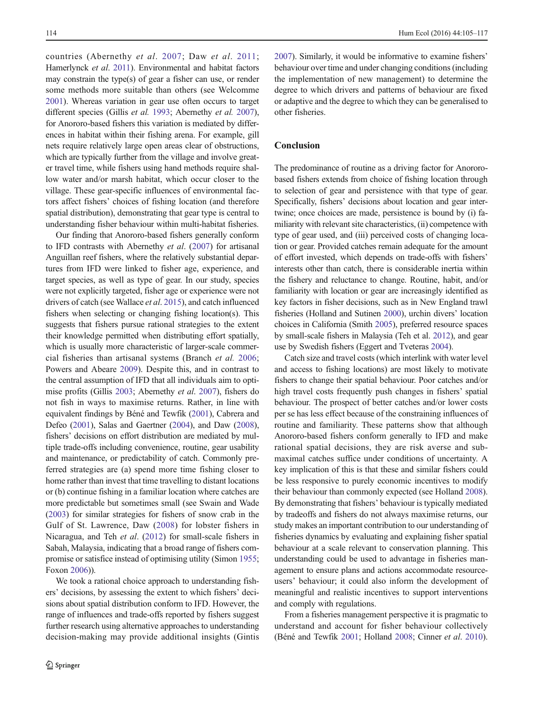countries (Abernethy et al. [2007](#page-10-0); Daw et al. [2011](#page-10-0); Hamerlynck et al. [2011\)](#page-11-0). Environmental and habitat factors may constrain the type(s) of gear a fisher can use, or render some methods more suitable than others (see Welcomme [2001\)](#page-12-0). Whereas variation in gear use often occurs to target different species (Gillis et al. [1993;](#page-11-0) Abernethy et al. [2007\)](#page-10-0), for Anororo-based fishers this variation is mediated by differences in habitat within their fishing arena. For example, gill nets require relatively large open areas clear of obstructions, which are typically further from the village and involve greater travel time, while fishers using hand methods require shallow water and/or marsh habitat, which occur closer to the village. These gear-specific influences of environmental factors affect fishers' choices of fishing location (and therefore spatial distribution), demonstrating that gear type is central to understanding fisher behaviour within multi-habitat fisheries.

Our finding that Anororo-based fishers generally conform to IFD contrasts with Abernethy et al. [\(2007](#page-10-0)) for artisanal Anguillan reef fishers, where the relatively substantial departures from IFD were linked to fisher age, experience, and target species, as well as type of gear. In our study, species were not explicitly targeted, fisher age or experience were not drivers of catch (see Wallace et al. [2015\)](#page-12-0), and catch influenced fishers when selecting or changing fishing location(s). This suggests that fishers pursue rational strategies to the extent their knowledge permitted when distributing effort spatially, which is usually more characteristic of larger-scale commercial fisheries than artisanal systems (Branch et al. [2006](#page-10-0); Powers and Abeare [2009\)](#page-11-0). Despite this, and in contrast to the central assumption of IFD that all individuals aim to optimise profits (Gillis [2003](#page-11-0); Abernethy et al. [2007\)](#page-10-0), fishers do not fish in ways to maximise returns. Rather, in line with equivalent findings by Béné and Tewfik ([2001](#page-10-0)), Cabrera and Defeo [\(2001](#page-10-0)), Salas and Gaertner [\(2004\)](#page-11-0), and Daw [\(2008\)](#page-10-0), fishers' decisions on effort distribution are mediated by multiple trade-offs including convenience, routine, gear usability and maintenance, or predictability of catch. Commonly preferred strategies are (a) spend more time fishing closer to home rather than invest that time travelling to distant locations or (b) continue fishing in a familiar location where catches are more predictable but sometimes small (see Swain and Wade [\(2003\)](#page-11-0) for similar strategies for fishers of snow crab in the Gulf of St. Lawrence, Daw [\(2008](#page-10-0)) for lobster fishers in Nicaragua, and Teh et al. ([2012\)](#page-11-0) for small-scale fishers in Sabah, Malaysia, indicating that a broad range of fishers compromise or satisfice instead of optimising utility (Simon [1955](#page-11-0); Foxon [2006](#page-11-0))).

We took a rational choice approach to understanding fishers' decisions, by assessing the extent to which fishers' decisions about spatial distribution conform to IFD. However, the range of influences and trade-offs reported by fishers suggest further research using alternative approaches to understanding decision-making may provide additional insights (Gintis

[2007\)](#page-11-0). Similarly, it would be informative to examine fishers' behaviour over time and under changing conditions (including the implementation of new management) to determine the degree to which drivers and patterns of behaviour are fixed or adaptive and the degree to which they can be generalised to other fisheries.

# Conclusion

The predominance of routine as a driving factor for Anororobased fishers extends from choice of fishing location through to selection of gear and persistence with that type of gear. Specifically, fishers' decisions about location and gear intertwine; once choices are made, persistence is bound by (i) familiarity with relevant site characteristics, (ii) competence with type of gear used, and (iii) perceived costs of changing location or gear. Provided catches remain adequate for the amount of effort invested, which depends on trade-offs with fishers' interests other than catch, there is considerable inertia within the fishery and reluctance to change. Routine, habit, and/or familiarity with location or gear are increasingly identified as key factors in fisher decisions, such as in New England trawl fisheries (Holland and Sutinen [2000\)](#page-11-0), urchin divers' location choices in California (Smith [2005\)](#page-11-0), preferred resource spaces by small-scale fishers in Malaysia (Teh et al. [2012\)](#page-11-0), and gear use by Swedish fishers (Eggert and Tveteras [2004](#page-11-0)).

Catch size and travel costs (which interlink with water level and access to fishing locations) are most likely to motivate fishers to change their spatial behaviour. Poor catches and/or high travel costs frequently push changes in fishers' spatial behaviour. The prospect of better catches and/or lower costs per se has less effect because of the constraining influences of routine and familiarity. These patterns show that although Anororo-based fishers conform generally to IFD and make rational spatial decisions, they are risk averse and submaximal catches suffice under conditions of uncertainty. A key implication of this is that these and similar fishers could be less responsive to purely economic incentives to modify their behaviour than commonly expected (see Holland [2008\)](#page-11-0). By demonstrating that fishers' behaviour is typically mediated by tradeoffs and fishers do not always maximise returns, our study makes an important contribution to our understanding of fisheries dynamics by evaluating and explaining fisher spatial behaviour at a scale relevant to conservation planning. This understanding could be used to advantage in fisheries management to ensure plans and actions accommodate resourceusers' behaviour; it could also inform the development of meaningful and realistic incentives to support interventions and comply with regulations.

From a fisheries management perspective it is pragmatic to understand and account for fisher behaviour collectively (Béné and Tewfik [2001](#page-10-0); Holland [2008](#page-11-0); Cinner et al. [2010\)](#page-10-0).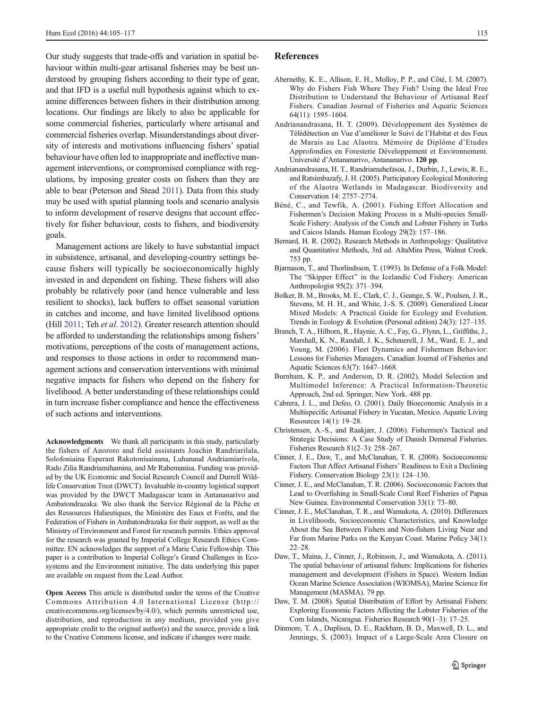<span id="page-10-0"></span>Our study suggests that trade-offs and variation in spatial behaviour within multi-gear artisanal fisheries may be best understood by grouping fishers according to their type of gear, and that IFD is a useful null hypothesis against which to examine differences between fishers in their distribution among locations. Our findings are likely to also be applicable for some commercial fisheries, particularly where artisanal and commercial fisheries overlap. Misunderstandings about diversity of interests and motivations influencing fishers' spatial behaviour have often led to inappropriate and ineffective management interventions, or compromised compliance with regulations, by imposing greater costs on fishers than they are able to bear (Peterson and Stead [2011\)](#page-11-0). Data from this study may be used with spatial planning tools and scenario analysis to inform development of reserve designs that account effectively for fisher behaviour, costs to fishers, and biodiversity goals.

Management actions are likely to have substantial impact in subsistence, artisanal, and developing-country settings because fishers will typically be socioeconomically highly invested in and dependent on fishing. These fishers will also probably be relatively poor (and hence vulnerable and less resilient to shocks), lack buffers to offset seasonal variation in catches and income, and have limited livelihood options (Hill [2011;](#page-11-0) Teh et al. [2012\)](#page-11-0). Greater research attention should be afforded to understanding the relationships among fishers' motivations, perceptions of the costs of management actions, and responses to those actions in order to recommend management actions and conservation interventions with minimal negative impacts for fishers who depend on the fishery for livelihood. A better understanding of these relationships could in turn increase fisher compliance and hence the effectiveness of such actions and interventions.

Acknowledgments We thank all participants in this study, particularly the fishers of Anororo and field assistants Joachin Randriarilala, Solofoniaina Esperant Rakotonisainana, Luhanaud Andriamiarivola, Rado Zilia Randriamihamina, and Mr Rabemanisa. Funding was provided by the UK Economic and Social Research Council and Durrell Wildlife Conservation Trust (DWCT). Invaluable in-country logistical support was provided by the DWCT Madagascar team in Antananarivo and Ambatondrazaka. We also thank the Service Régional de la Pêche et des Ressources Halieutiques, the Ministère des Eaux et Forêts, and the Federation of Fishers in Ambatondrazaka for their support, as well as the Ministry of Environment and Forest for research permits. Ethics approval for the research was granted by Imperial College Research Ethics Committee. EN acknowledges the support of a Marie Curie Fellowship. This paper is a contribution to Imperial College's Grand Challenges in Ecosystems and the Environment initiative. The data underlying this paper are available on request from the Lead Author.

Open Access This article is distributed under the terms of the Creative Commons Attribution 4.0 International License (http:// creativecommons.org/licenses/by/4.0/), which permits unrestricted use, distribution, and reproduction in any medium, provided you give appropriate credit to the original author(s) and the source, provide a link to the Creative Commons license, and indicate if changes were made.

#### References

- Abernethy, K. E., Allison, E. H., Molloy, P. P., and Côté, I. M. (2007). Why do Fishers Fish Where They Fish? Using the Ideal Free Distribution to Understand the Behaviour of Artisanal Reef Fishers. Canadian Journal of Fisheries and Aquatic Sciences 64(11): 1595–1604.
- Andrianandrasana, H. T. (2009). Développement des Systèmes de Télédétection en Vue d'améliorer le Suivi de l'Habitat et des Feux de Marais au Lac Alaotra. Mémoire de Diplôme d'Etudes Approfondies en Foresterie Développement et Environnement. Université d'Antananarivo, Antananarivo. 120 pp.
- Andrianandrasana, H. T., Randriamahefasoa, J., Durbin, J., Lewis, R. E., and Ratsimbazafy, J. H. (2005). Participatory Ecological Monitoring of the Alaotra Wetlands in Madagascar. Biodiversity and Conservation 14: 2757–2774.
- Béné, C., and Tewfik, A. (2001). Fishing Effort Allocation and Fishermen's Decision Making Process in a Multi-species Small-Scale Fishery: Analysis of the Conch and Lobster Fishery in Turks and Caicos Islands. Human Ecology 29(2): 157–186.
- Bernard, H. R. (2002). Research Methods in Anthropology: Qualitative and Quantitative Methods, 3rd ed. AltaMira Press, Walnut Creek. 753 pp.
- Bjarnason, T., and Thorlindsson, T. (1993). In Defense of a Folk Model: The "Skipper Effect" in the Icelandic Cod Fishery. American Anthropologist 95(2): 371–394.
- Bolker, B. M., Brooks, M. E., Clark, C. J., Geange, S. W., Poulsen, J. R., Stevens, M. H. H., and White, J.-S. S. (2009). Generalized Linear Mixed Models: A Practical Guide for Ecology and Evolution. Trends in Ecology & Evolution (Personal edition) 24(3): 127–135.
- Branch, T. A., Hilborn, R., Haynie, A. C., Fay, G., Flynn, L., Griffiths, J., Marshall, K. N., Randall, J. K., Scheuerell, J. M., Ward, E. J., and Young, M. (2006). Fleet Dynamics and Fishermen Behavior: Lessons for Fisheries Managers. Canadian Journal of Fisheries and Aquatic Sciences 63(7): 1647–1668.
- Burnham, K. P., and Anderson, D. R. (2002). Model Selection and Multimodel Inference: A Practical Information-Theoretic Approach, 2nd ed. Springer, New York. 488 pp.
- Cabrera, J. L., and Defeo, O. (2001). Daily Bioeconomic Analysis in a Multispecific Artisanal Fishery in Yucatan, Mexico. Aquatic Living Resources 14(1): 19–28.
- Christensen, A.-S., and Raakjær, J. (2006). Fishermen's Tactical and Strategic Decisions: A Case Study of Danish Demersal Fisheries. Fisheries Research 81(2–3): 258–267.
- Cinner, J. E., Daw, T., and McClanahan, T. R. (2008). Socioeconomic Factors That Affect Artisanal Fishers' Readiness to Exit a Declining Fishery. Conservation Biology 23(1): 124–130.
- Cinner, J. E., and McClanahan, T. R. (2006). Socioeconomic Factors that Lead to Overfishing in Small-Scale Coral Reef Fisheries of Papua New Guinea. Environmental Conservation 33(1): 73–80.
- Cinner, J. E., McClanahan, T. R., and Wamukota, A. (2010). Differences in Livelihoods, Socioeconomic Characteristics, and Knowledge About the Sea Between Fishers and Non-fishers Living Near and Far from Marine Parks on the Kenyan Coast. Marine Policy 34(1): 22–28.
- Daw, T., Maina, J., Cinner, J., Robinson, J., and Wamukota, A. (2011). The spatial behaviour of artisanal fishers: Implications for fisheries management and development (Fishers in Space). Western Indian Ocean Marine Science Association (WIOMSA), Marine Science for Management (MASMA). 79 pp.
- Daw, T. M. (2008). Spatial Distribution of Effort by Artisanal Fishers: Exploring Economic Factors Affecting the Lobster Fisheries of the Corn Islands, Nicaragua. Fisheries Research 90(1–3): 17–25.
- Dinmore, T. A., Duplisea, D. E., Rackham, B. D., Maxwell, D. L., and Jennings, S. (2003). Impact of a Large-Scale Area Closure on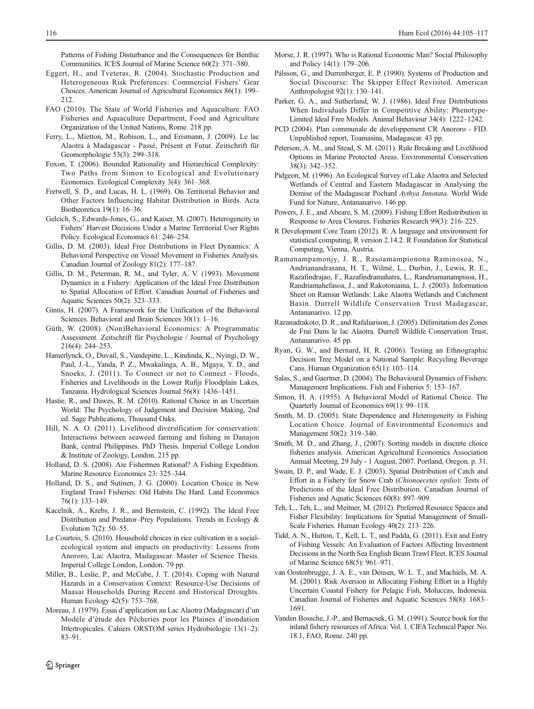<span id="page-11-0"></span>Patterns of Fishing Disturbance and the Consequences for Benthic Communities. ICES Journal of Marine Science 60(2): 371–380.

- Eggert, H., and Tveteras, R. (2004). Stochastic Production and Heterogeneous Risk Preferences: Commercial Fishers' Gear Choices. American Journal of Agricultural Economics 86(1): 199– 212.
- FAO (2010). The State of World Fisheries and Aquaculture. FAO Fisheries and Aquaculture Department, Food and Agriculture Organization of the United Nations, Rome. 218 pp.
- Ferry, L., Mietton, M., Robison, L., and Erismann, J. (2009). Le lac Alaotra à Madagascar - Passé, Présent et Futur. Zeitschrift für Geomorphologie 53(3): 299–318.
- Foxon, T. (2006). Bounded Rationality and Hierarchical Complexity: Two Paths from Simon to Ecological and Evolutionary Economics. Ecological Complexity 3(4): 361–368.
- Fretwell, S. D., and Lucas, H. L. (1969). On Territorial Behavior and Other Factors Influencing Habitat Distribution in Birds. Acta Biotheoretica 19(1): 16–36.
- Gelcich, S., Edwards-Jones, G., and Kaiser, M. (2007). Heterogeneity in Fishers' Harvest Decisions Under a Marine Territorial User Rights Policy. Ecological Economics 61: 246–254.
- Gillis, D. M. (2003). Ideal Free Distributions in Fleet Dynamics: A Behavioral Perspective on Vessel Movement in Fisheries Analysis. Canadian Journal of Zoology 81(2): 177–187.
- Gillis, D. M., Peterman, R. M., and Tyler, A. V. (1993). Movement Dynamics in a Fishery: Application of the Ideal Free Distribution to Spatial Allocation of Effort. Canadian Journal of Fisheries and Aquatic Sciences 50(2): 323–333.
- Gintis, H. (2007). A Framework for the Unification of the Behavioral Sciences. Behavioral and Brain Sciences 30(1): 1–16.
- Güth, W. (2008). (Non)Behavioral Economics: A Programmatic Assessment. Zeitschrift für Psychologie / Journal of Psychology 216(4): 244–253.
- Hamerlynck, O., Duvail, S., Vandepitte, L., Kindinda, K., Nyingi, D. W., Paul, J.-L., Yanda, P. Z., Mwakalinga, A. B., Mgaya, Y. D., and Snoeks, J. (2011). To Connect or not to Connect - Floods, Fisheries and Livelihoods in the Lower Rufiji Floodplain Lakes, Tanzania. Hydrological Sciences Journal 56(8): 1436–1451.
- Hastie, R., and Dawes, R. M. (2010). Rational Choice in an Uncertain World: The Psychology of Judgement and Decision Making, 2nd ed. Sage Publications, Thousand Oaks.
- Hill, N. A. O. (2011). Livelihood diversification for conservation: Interactions between seaweed farming and fishing in Danajon Bank, central Philippines. PhD Thesis. Imperial College London & Institute of Zoology, London. 215 pp.
- Holland, D. S. (2008). Are Fishermen Rational? A Fishing Expedition. Marine Resource Economics 23: 325–344.
- Holland, D. S., and Sutinen, J. G. (2000). Location Choice in New England Trawl Fisheries: Old Habits Die Hard. Land Economics 76(1): 133–149.
- Kacelnik, A., Krebs, J. R., and Bernstein, C. (1992). The Ideal Free Distribution and Predator–Prey Populations. Trends in Ecology & Evolution 7(2): 50–55.
- Le Courtois, S. (2010). Household choices in rice cultivation in a socialecological system and impacts on productivity: Lessons from Anororo, Lac Alaotra, Madagascar. Master of Science Thesis. Imperial College London, London. 79 pp.
- Miller, B., Leslie, P., and McCabe, J. T. (2014). Coping with Natural Hazards in a Conservation Context: Resource-Use Decisions of Maasai Households During Recent and Historical Droughts. Human Ecology 42(5): 753–768.
- Moreau, J. (1979). Essai d'application au Lac Alaotra (Madagascar) d'un Modèle d'étude des Pêcheries pour les Plaines d'inondation Intertropicales. Cahiers ORSTOM series Hydrobiologie 13(1–2): 83–91.
- Morse, J. R. (1997). Who is Rational Economic Man? Social Philosophy and Policy 14(1): 179–206.
- Pálsson, G., and Durrenberger, E. P. (1990). Systems of Production and Social Discourse: The Skipper Effect Revisited. American Anthropologist 92(1): 130–141.
- Parker, G. A., and Sutherland, W. J. (1986). Ideal Free Distributions When Individuals Differ in Competitive Ability: Phenotype-Limited Ideal Free Models. Animal Behaviour 34(4): 1222–1242.
- PCD (2004). Plan communale de developpement CR Anororo FID. Unpublished report, Toamasina, Madagascar. 43 pp.
- Peterson, A. M., and Stead, S. M. (2011). Rule Breaking and Livelihood Options in Marine Protected Areas. Environmental Conservation 38(3): 342–352.
- Pidgeon, M. (1996). An Ecological Survey of Lake Alaotra and Selected Wetlands of Central and Eastern Madagascar in Analysing the Demise of the Madagascar Pochard Aythya Innotata. World Wide Fund for Nature, Antananarivo. 146 pp.
- Powers, J. E., and Abeare, S. M. (2009). Fishing Effort Redistribution in Response to Area Closures. Fisheries Research 99(3): 216–225.
- R Development Core Team (2012). R: A language and environment for statistical computing, R version 2.14.2. R Foundation for Statistical Computing, Vienna, Austria.
- Ramanampamonjy, J. R., Rasoamampionona Raminosoa, N., Andrianandrasana, H. T., Wilmé, L., Durbin, J., Lewis, R. E., Razafindrajao, F., Razafindramahatra, L., Randriamanampisoa, H., Randriamahefasoa, J., and Rakotoniaina, L. J. (2003). Information Sheet on Ramsar Wetlands: Lake Alaotra Wetlands and Catchment Basin. Durrell Wildlife Conservation Trust Madagascar, Antananarivo. 12 pp.
- Razanadrakoto, D. R., and Rafaliarison, J. (2005). Délimitation des Zones de Frai Dans le lac Alaotra. Durrell Wildlife Conservation Trust, Antananarivo. 45 pp.
- Ryan, G. W., and Bernard, H. R. (2006). Testing an Ethnographic Decision Tree Model on a National Sample: Recycling Beverage Cans. Human Organization 65(1): 103–114.
- Salas, S., and Gaertner, D. (2004). The Behavioural Dynamics of Fishers: Management Implications. Fish and Fisheries 5: 153–167.
- Simon, H. A. (1955). A Behavioral Model of Rational Choice. The Quarterly Journal of Economics 69(1): 99–118.
- Smith, M. D. (2005). State Dependence and Heterogeneity in Fishing Location Choice. Journal of Environmental Economics and Management 50(2): 319–340.
- Smith, M. D., and Zhang, J., (2007). Sorting models in discrete choice fisheries analysis. American Agricultural Economics Association Annual Meeting, 29 July - 1 August, 2007. Portland, Oregon. p. 31.
- Swain, D. P., and Wade, E. J. (2003). Spatial Distribution of Catch and Effort in a Fishery for Snow Crab (Chionoecetes opilio): Tests of Predictions of the Ideal Free Distribution. Canadian Journal of Fisheries and Aquatic Sciences 60(8): 897–909.
- Teh, L., Teh, L., and Meitner, M. (2012). Preferred Resource Spaces and Fisher Flexibility: Implications for Spatial Management of Small-Scale Fisheries. Human Ecology 40(2): 213–226.
- Tidd, A. N., Hutton, T., Kell, L. T., and Padda, G. (2011). Exit and Entry of Fishing Vessels: An Evaluation of Factors Affecting Investment Decisions in the North Sea English Beam Trawl Fleet. ICES Journal of Marine Science 68(5): 961–971.
- van Oostenbrugge, J. A. E., van Densen, W. L. T., and Machiels, M. A. M. (2001). Risk Aversion in Allocating Fishing Effort in a Highly Uncertain Coastal Fishery for Pelagic Fish, Moluccas, Indonesia. Canadian Journal of Fisheries and Aquatic Sciences 58(8): 1683– 1691.
- Vanden Bossche, J.-P., and Bernacsek, G. M. (1991). Source book for the inland fishery resources of Africa: Vol. 1. CIFATechnical Paper. No. 18.1, FAO, Rome. 240 pp.